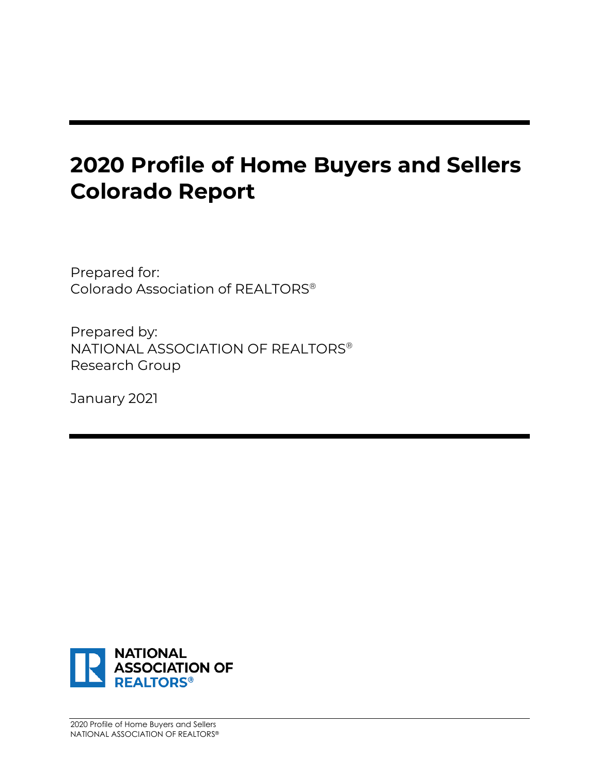Prepared for: Colorado Association of REALTORS®

Prepared by: NATIONAL ASSOCIATION OF REALTORS® Research Group

January 2021

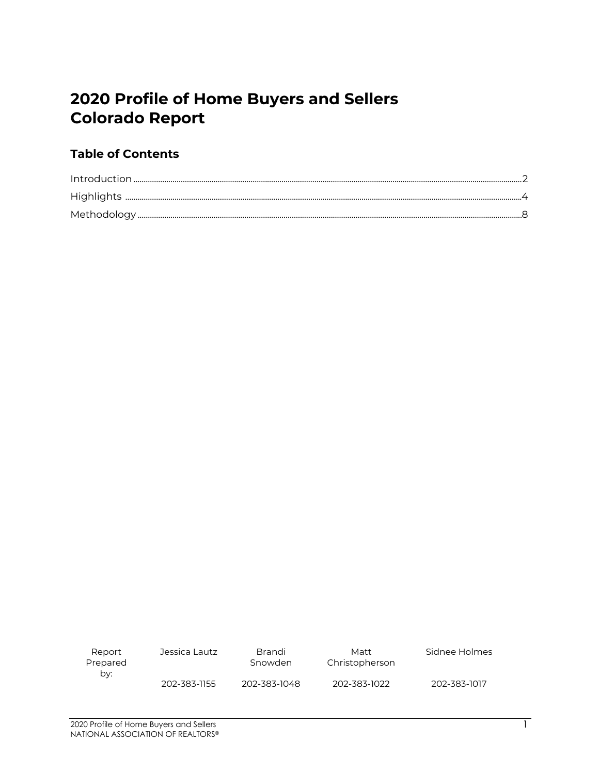### **Table of Contents**

| Report<br>Prepared<br>by: | Jessica Lautz | Brandi<br>Snowden | Matt<br>Christopherson | Sidnee Holmes |
|---------------------------|---------------|-------------------|------------------------|---------------|
|                           | 202-383-1155  | 202-383-1048      | 202-383-1022           | 202-383-1017  |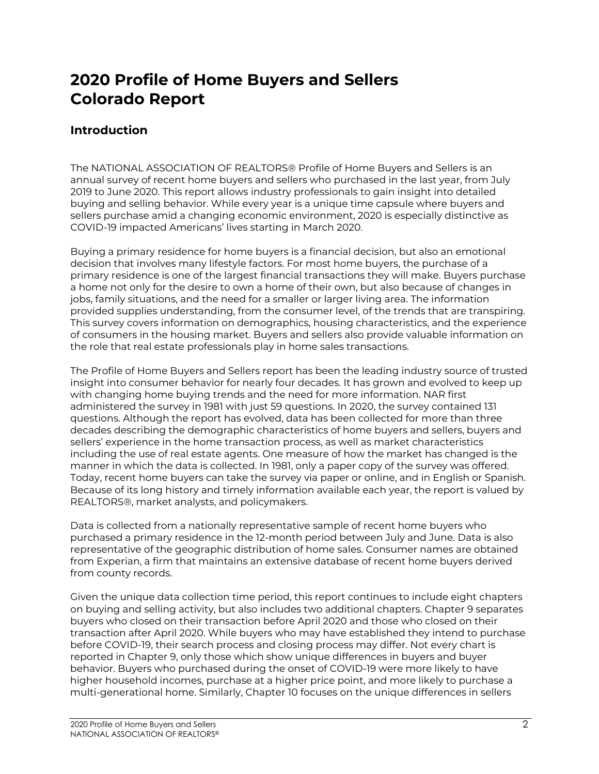#### **Introduction**

The NATIONAL ASSOCIATION OF REALTORS® Profile of Home Buyers and Sellers is an annual survey of recent home buyers and sellers who purchased in the last year, from July 2019 to June 2020. This report allows industry professionals to gain insight into detailed buying and selling behavior. While every year is a unique time capsule where buyers and sellers purchase amid a changing economic environment, 2020 is especially distinctive as COVID-19 impacted Americans' lives starting in March 2020.

Buying a primary residence for home buyers is a financial decision, but also an emotional decision that involves many lifestyle factors. For most home buyers, the purchase of a primary residence is one of the largest financial transactions they will make. Buyers purchase a home not only for the desire to own a home of their own, but also because of changes in jobs, family situations, and the need for a smaller or larger living area. The information provided supplies understanding, from the consumer level, of the trends that are transpiring. This survey covers information on demographics, housing characteristics, and the experience of consumers in the housing market. Buyers and sellers also provide valuable information on the role that real estate professionals play in home sales transactions.

The Profile of Home Buyers and Sellers report has been the leading industry source of trusted insight into consumer behavior for nearly four decades. It has grown and evolved to keep up with changing home buying trends and the need for more information. NAR first administered the survey in 1981 with just 59 questions. In 2020, the survey contained 131 questions. Although the report has evolved, data has been collected for more than three decades describing the demographic characteristics of home buyers and sellers, buyers and sellers' experience in the home transaction process, as well as market characteristics including the use of real estate agents. One measure of how the market has changed is the manner in which the data is collected. In 1981, only a paper copy of the survey was offered. Today, recent home buyers can take the survey via paper or online, and in English or Spanish. Because of its long history and timely information available each year, the report is valued by REALTORS®, market analysts, and policymakers.

Data is collected from a nationally representative sample of recent home buyers who purchased a primary residence in the 12-month period between July and June. Data is also representative of the geographic distribution of home sales. Consumer names are obtained from Experian, a firm that maintains an extensive database of recent home buyers derived from county records.

Given the unique data collection time period, this report continues to include eight chapters on buying and selling activity, but also includes two additional chapters. Chapter 9 separates buyers who closed on their transaction before April 2020 and those who closed on their transaction after April 2020. While buyers who may have established they intend to purchase before COVID-19, their search process and closing process may differ. Not every chart is reported in Chapter 9, only those which show unique differences in buyers and buyer behavior. Buyers who purchased during the onset of COVID-19 were more likely to have higher household incomes, purchase at a higher price point, and more likely to purchase a multi-generational home. Similarly, Chapter 10 focuses on the unique differences in sellers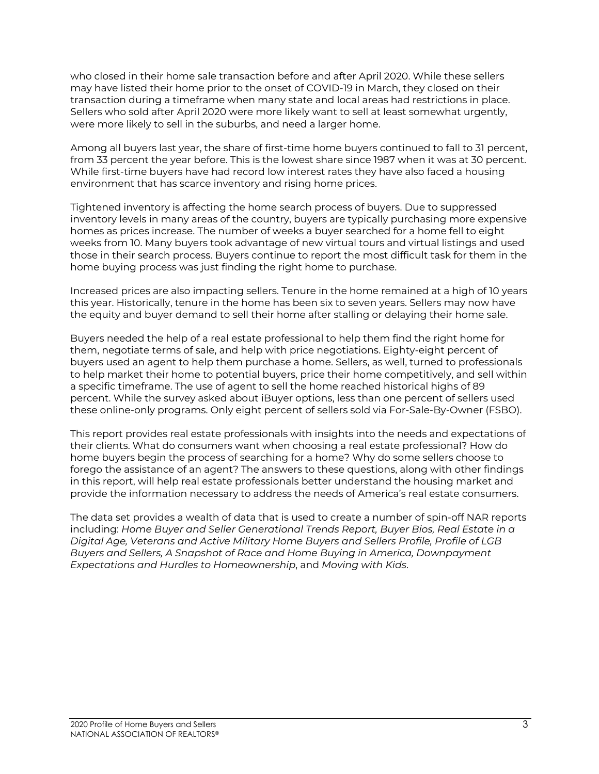who closed in their home sale transaction before and after April 2020. While these sellers may have listed their home prior to the onset of COVID-19 in March, they closed on their transaction during a timeframe when many state and local areas had restrictions in place. Sellers who sold after April 2020 were more likely want to sell at least somewhat urgently, were more likely to sell in the suburbs, and need a larger home.

Among all buyers last year, the share of first-time home buyers continued to fall to 31 percent, from 33 percent the year before. This is the lowest share since 1987 when it was at 30 percent. While first-time buyers have had record low interest rates they have also faced a housing environment that has scarce inventory and rising home prices.

Tightened inventory is affecting the home search process of buyers. Due to suppressed inventory levels in many areas of the country, buyers are typically purchasing more expensive homes as prices increase. The number of weeks a buyer searched for a home fell to eight weeks from 10. Many buyers took advantage of new virtual tours and virtual listings and used those in their search process. Buyers continue to report the most difficult task for them in the home buying process was just finding the right home to purchase.

Increased prices are also impacting sellers. Tenure in the home remained at a high of 10 years this year. Historically, tenure in the home has been six to seven years. Sellers may now have the equity and buyer demand to sell their home after stalling or delaying their home sale.

Buyers needed the help of a real estate professional to help them find the right home for them, negotiate terms of sale, and help with price negotiations. Eighty-eight percent of buyers used an agent to help them purchase a home. Sellers, as well, turned to professionals to help market their home to potential buyers, price their home competitively, and sell within a specific timeframe. The use of agent to sell the home reached historical highs of 89 percent. While the survey asked about iBuyer options, less than one percent of sellers used these online-only programs. Only eight percent of sellers sold via For-Sale-By-Owner (FSBO).

This report provides real estate professionals with insights into the needs and expectations of their clients. What do consumers want when choosing a real estate professional? How do home buyers begin the process of searching for a home? Why do some sellers choose to forego the assistance of an agent? The answers to these questions, along with other findings in this report, will help real estate professionals better understand the housing market and provide the information necessary to address the needs of America's real estate consumers.

The data set provides a wealth of data that is used to create a number of spin-off NAR reports including: *Home Buyer and Seller Generational Trends Report, Buyer Bios, Real Estate in a Digital Age, Veterans and Active Military Home Buyers and Sellers Profile, Profile of LGB Buyers and Sellers, A Snapshot of Race and Home Buying in America, Downpayment Expectations and Hurdles to Homeownership*, and *Moving with Kids*.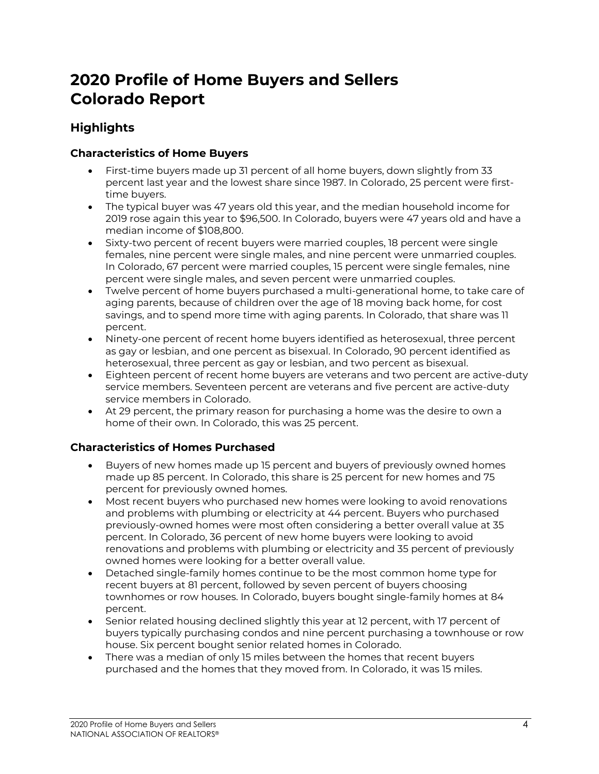### **Highlights**

#### **Characteristics of Home Buyers**

- First-time buyers made up 31 percent of all home buyers, down slightly from 33 percent last year and the lowest share since 1987. In Colorado, 25 percent were firsttime buyers.
- The typical buyer was 47 years old this year, and the median household income for 2019 rose again this year to \$96,500. In Colorado, buyers were 47 years old and have a median income of \$108,800.
- Sixty-two percent of recent buyers were married couples, 18 percent were single females, nine percent were single males, and nine percent were unmarried couples. In Colorado, 67 percent were married couples, 15 percent were single females, nine percent were single males, and seven percent were unmarried couples.
- Twelve percent of home buyers purchased a multi-generational home, to take care of aging parents, because of children over the age of 18 moving back home, for cost savings, and to spend more time with aging parents. In Colorado, that share was 11 percent.
- Ninety-one percent of recent home buyers identified as heterosexual, three percent as gay or lesbian, and one percent as bisexual. In Colorado, 90 percent identified as heterosexual, three percent as gay or lesbian, and two percent as bisexual.
- Eighteen percent of recent home buyers are veterans and two percent are active-duty service members. Seventeen percent are veterans and five percent are active-duty service members in Colorado.
- At 29 percent, the primary reason for purchasing a home was the desire to own a home of their own. In Colorado, this was 25 percent.

#### **Characteristics of Homes Purchased**

- Buyers of new homes made up 15 percent and buyers of previously owned homes made up 85 percent. In Colorado, this share is 25 percent for new homes and 75 percent for previously owned homes.
- Most recent buyers who purchased new homes were looking to avoid renovations and problems with plumbing or electricity at 44 percent. Buyers who purchased previously-owned homes were most often considering a better overall value at 35 percent. In Colorado, 36 percent of new home buyers were looking to avoid renovations and problems with plumbing or electricity and 35 percent of previously owned homes were looking for a better overall value.
- Detached single-family homes continue to be the most common home type for recent buyers at 81 percent, followed by seven percent of buyers choosing townhomes or row houses. In Colorado, buyers bought single-family homes at 84 percent.
- Senior related housing declined slightly this year at 12 percent, with 17 percent of buyers typically purchasing condos and nine percent purchasing a townhouse or row house. Six percent bought senior related homes in Colorado.
- There was a median of only 15 miles between the homes that recent buyers purchased and the homes that they moved from. In Colorado, it was 15 miles.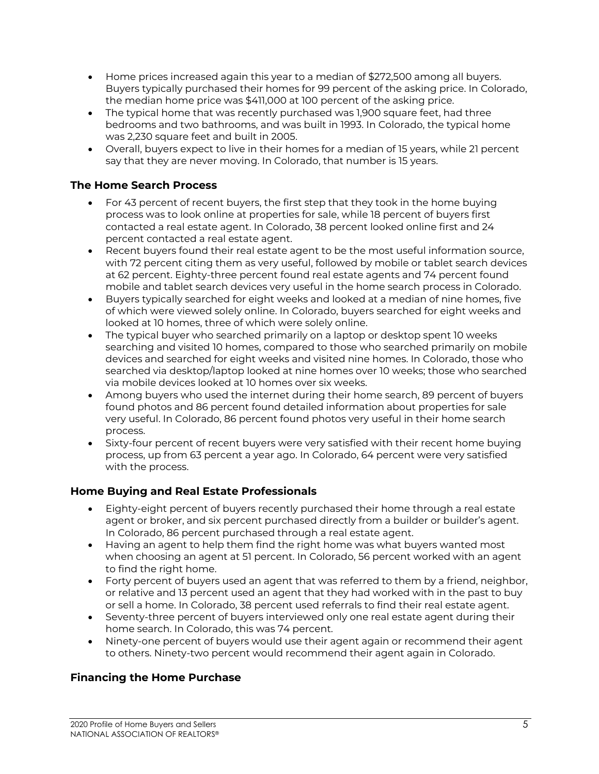- Home prices increased again this year to a median of \$272,500 among all buyers. Buyers typically purchased their homes for 99 percent of the asking price. In Colorado, the median home price was \$411,000 at 100 percent of the asking price.
- The typical home that was recently purchased was 1,900 square feet, had three bedrooms and two bathrooms, and was built in 1993. In Colorado, the typical home was 2,230 square feet and built in 2005.
- Overall, buyers expect to live in their homes for a median of 15 years, while 21 percent say that they are never moving. In Colorado, that number is 15 years.

#### **The Home Search Process**

- For 43 percent of recent buyers, the first step that they took in the home buying process was to look online at properties for sale, while 18 percent of buyers first contacted a real estate agent. In Colorado, 38 percent looked online first and 24 percent contacted a real estate agent.
- Recent buyers found their real estate agent to be the most useful information source, with 72 percent citing them as very useful, followed by mobile or tablet search devices at 62 percent. Eighty-three percent found real estate agents and 74 percent found mobile and tablet search devices very useful in the home search process in Colorado.
- Buyers typically searched for eight weeks and looked at a median of nine homes, five of which were viewed solely online. In Colorado, buyers searched for eight weeks and looked at 10 homes, three of which were solely online.
- The typical buyer who searched primarily on a laptop or desktop spent 10 weeks searching and visited 10 homes, compared to those who searched primarily on mobile devices and searched for eight weeks and visited nine homes. In Colorado, those who searched via desktop/laptop looked at nine homes over 10 weeks; those who searched via mobile devices looked at 10 homes over six weeks.
- Among buyers who used the internet during their home search, 89 percent of buyers found photos and 86 percent found detailed information about properties for sale very useful. In Colorado, 86 percent found photos very useful in their home search process.
- Sixty-four percent of recent buyers were very satisfied with their recent home buying process, up from 63 percent a year ago. In Colorado, 64 percent were very satisfied with the process.

#### **Home Buying and Real Estate Professionals**

- Eighty-eight percent of buyers recently purchased their home through a real estate agent or broker, and six percent purchased directly from a builder or builder's agent. In Colorado, 86 percent purchased through a real estate agent.
- Having an agent to help them find the right home was what buyers wanted most when choosing an agent at 51 percent. In Colorado, 56 percent worked with an agent to find the right home.
- Forty percent of buyers used an agent that was referred to them by a friend, neighbor, or relative and 13 percent used an agent that they had worked with in the past to buy or sell a home. In Colorado, 38 percent used referrals to find their real estate agent.
- Seventy-three percent of buyers interviewed only one real estate agent during their home search. In Colorado, this was 74 percent.
- Ninety-one percent of buyers would use their agent again or recommend their agent to others. Ninety-two percent would recommend their agent again in Colorado.

#### **Financing the Home Purchase**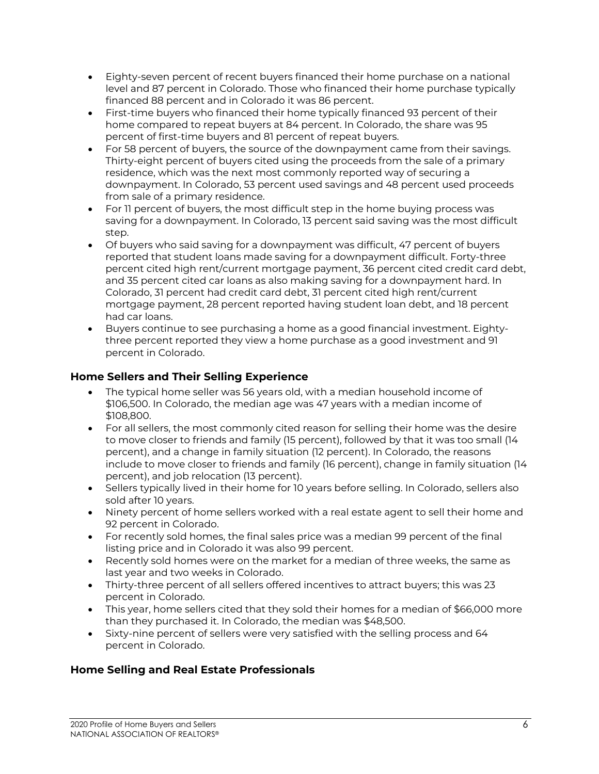- Eighty-seven percent of recent buyers financed their home purchase on a national level and 87 percent in Colorado. Those who financed their home purchase typically financed 88 percent and in Colorado it was 86 percent.
- First-time buyers who financed their home typically financed 93 percent of their home compared to repeat buyers at 84 percent. In Colorado, the share was 95 percent of first-time buyers and 81 percent of repeat buyers.
- For 58 percent of buyers, the source of the downpayment came from their savings. Thirty-eight percent of buyers cited using the proceeds from the sale of a primary residence, which was the next most commonly reported way of securing a downpayment. In Colorado, 53 percent used savings and 48 percent used proceeds from sale of a primary residence.
- For 11 percent of buyers, the most difficult step in the home buying process was saving for a downpayment. In Colorado, 13 percent said saving was the most difficult step.
- Of buyers who said saving for a downpayment was difficult, 47 percent of buyers reported that student loans made saving for a downpayment difficult. Forty-three percent cited high rent/current mortgage payment, 36 percent cited credit card debt, and 35 percent cited car loans as also making saving for a downpayment hard. In Colorado, 31 percent had credit card debt, 31 percent cited high rent/current mortgage payment, 28 percent reported having student loan debt, and 18 percent had car loans.
- Buyers continue to see purchasing a home as a good financial investment. Eightythree percent reported they view a home purchase as a good investment and 91 percent in Colorado.

#### **Home Sellers and Their Selling Experience**

- The typical home seller was 56 years old, with a median household income of \$106,500. In Colorado, the median age was 47 years with a median income of \$108,800.
- For all sellers, the most commonly cited reason for selling their home was the desire to move closer to friends and family (15 percent), followed by that it was too small (14 percent), and a change in family situation (12 percent). In Colorado, the reasons include to move closer to friends and family (16 percent), change in family situation (14 percent), and job relocation (13 percent).
- Sellers typically lived in their home for 10 years before selling. In Colorado, sellers also sold after 10 years.
- Ninety percent of home sellers worked with a real estate agent to sell their home and 92 percent in Colorado.
- For recently sold homes, the final sales price was a median 99 percent of the final listing price and in Colorado it was also 99 percent.
- Recently sold homes were on the market for a median of three weeks, the same as last year and two weeks in Colorado.
- Thirty-three percent of all sellers offered incentives to attract buyers; this was 23 percent in Colorado.
- This year, home sellers cited that they sold their homes for a median of \$66,000 more than they purchased it. In Colorado, the median was \$48,500.
- Sixty-nine percent of sellers were very satisfied with the selling process and 64 percent in Colorado.

#### **Home Selling and Real Estate Professionals**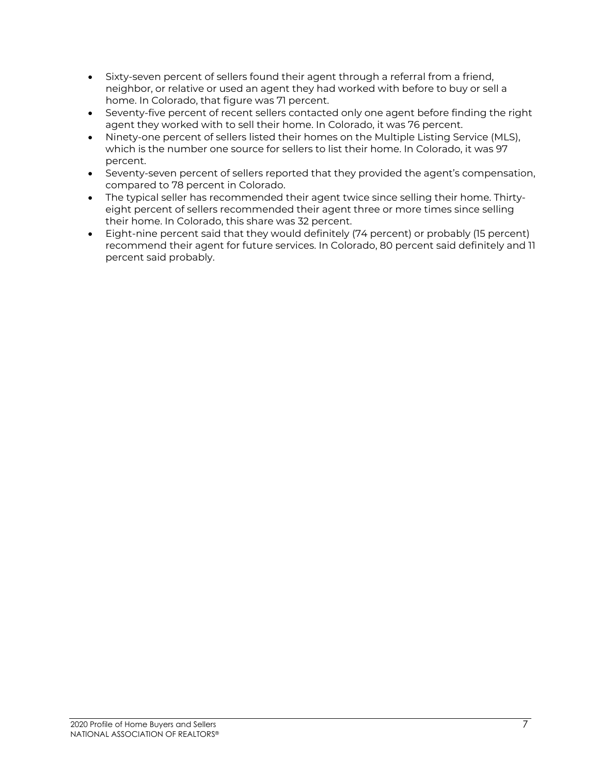- Sixty-seven percent of sellers found their agent through a referral from a friend, neighbor, or relative or used an agent they had worked with before to buy or sell a home. In Colorado, that figure was 71 percent.
- Seventy-five percent of recent sellers contacted only one agent before finding the right agent they worked with to sell their home. In Colorado, it was 76 percent.
- Ninety-one percent of sellers listed their homes on the Multiple Listing Service (MLS), which is the number one source for sellers to list their home. In Colorado, it was 97 percent.
- Seventy-seven percent of sellers reported that they provided the agent's compensation, compared to 78 percent in Colorado.
- The typical seller has recommended their agent twice since selling their home. Thirtyeight percent of sellers recommended their agent three or more times since selling their home. In Colorado, this share was 32 percent.
- Eight-nine percent said that they would definitely (74 percent) or probably (15 percent) recommend their agent for future services. In Colorado, 80 percent said definitely and 11 percent said probably.